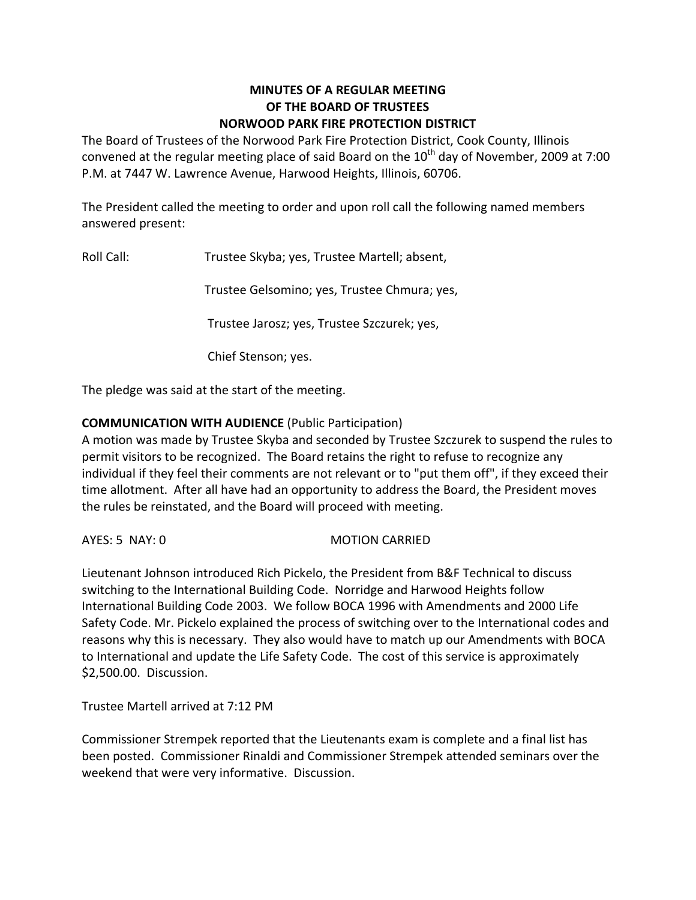## **MINUTES OF A REGULAR MEETING OF THE BOARD OF TRUSTEES NORWOOD PARK FIRE PROTECTION DISTRICT**

The Board of Trustees of the Norwood Park Fire Protection District, Cook County, Illinois convened at the regular meeting place of said Board on the  $10^{th}$  day of November, 2009 at 7:00 P.M. at 7447 W. Lawrence Avenue, Harwood Heights, Illinois, 60706.

The President called the meeting to order and upon roll call the following named members answered present:

Roll Call: Trustee Skyba; yes, Trustee Martell; absent,

Trustee Gelsomino; yes, Trustee Chmura; yes,

Trustee Jarosz; yes, Trustee Szczurek; yes,

Chief Stenson; yes.

The pledge was said at the start of the meeting.

## **COMMUNICATION WITH AUDIENCE** (Public Participation)

A motion was made by Trustee Skyba and seconded by Trustee Szczurek to suspend the rules to permit visitors to be recognized. The Board retains the right to refuse to recognize any individual if they feel their comments are not relevant or to "put them off", if they exceed their time allotment. After all have had an opportunity to address the Board, the President moves the rules be reinstated, and the Board will proceed with meeting.

AYES: 5 NAY: 0 MOTION CARRIED

Lieutenant Johnson introduced Rich Pickelo, the President from B&F Technical to discuss switching to the International Building Code. Norridge and Harwood Heights follow International Building Code 2003. We follow BOCA 1996 with Amendments and 2000 Life Safety Code. Mr. Pickelo explained the process of switching over to the International codes and reasons why this is necessary. They also would have to match up our Amendments with BOCA to International and update the Life Safety Code. The cost of this service is approximately \$2,500.00. Discussion.

Trustee Martell arrived at 7:12 PM

Commissioner Strempek reported that the Lieutenants exam is complete and a final list has been posted. Commissioner Rinaldi and Commissioner Strempek attended seminars over the weekend that were very informative. Discussion.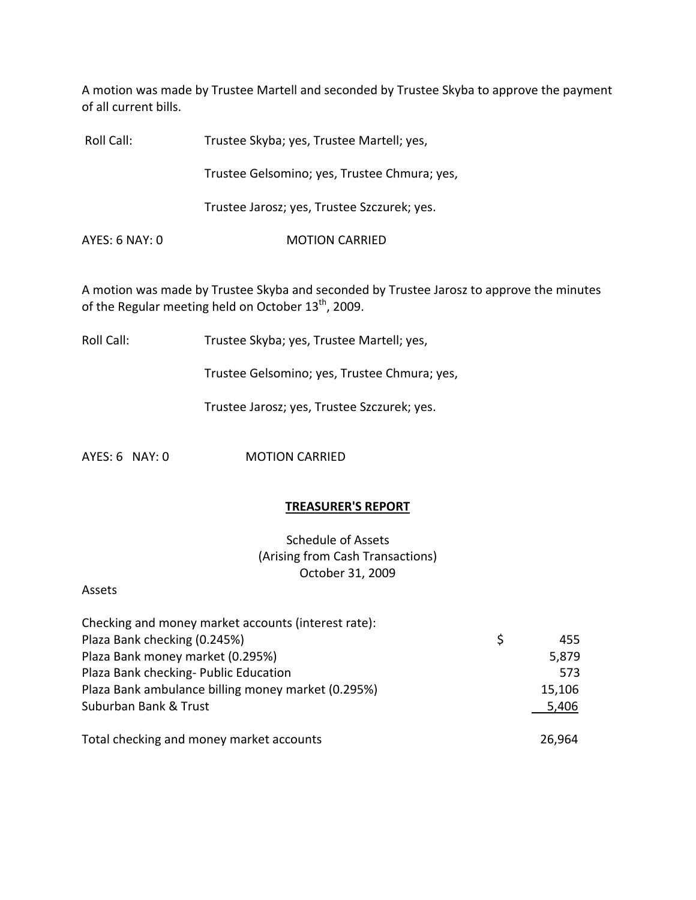A motion was made by Trustee Martell and seconded by Trustee Skyba to approve the payment of all current bills.

Roll Call: Trustee Skyba; yes, Trustee Martell; yes,

Trustee Gelsomino; yes, Trustee Chmura; yes,

Trustee Jarosz; yes, Trustee Szczurek; yes.

AYES: 6 NAY: 0 MOTION CARRIED

A motion was made by Trustee Skyba and seconded by Trustee Jarosz to approve the minutes of the Regular meeting held on October  $13<sup>th</sup>$ , 2009.

Roll Call: Trustee Skyba; yes, Trustee Martell; yes,

Trustee Gelsomino; yes, Trustee Chmura; yes,

Trustee Jarosz; yes, Trustee Szczurek; yes.

AYES: 6 NAY: 0 MOTION CARRIED

#### **TREASURER'S REPORT**

Schedule of Assets (Arising from Cash Transactions) October 31, 2009

Assets

| Checking and money market accounts (interest rate): |    |        |
|-----------------------------------------------------|----|--------|
| Plaza Bank checking (0.245%)                        | S. | 455    |
| Plaza Bank money market (0.295%)                    |    | 5,879  |
| Plaza Bank checking- Public Education               |    | 573    |
| Plaza Bank ambulance billing money market (0.295%)  |    | 15,106 |
| Suburban Bank & Trust                               |    | 5,406  |
|                                                     |    |        |
| Total checking and money market accounts            |    | 26,964 |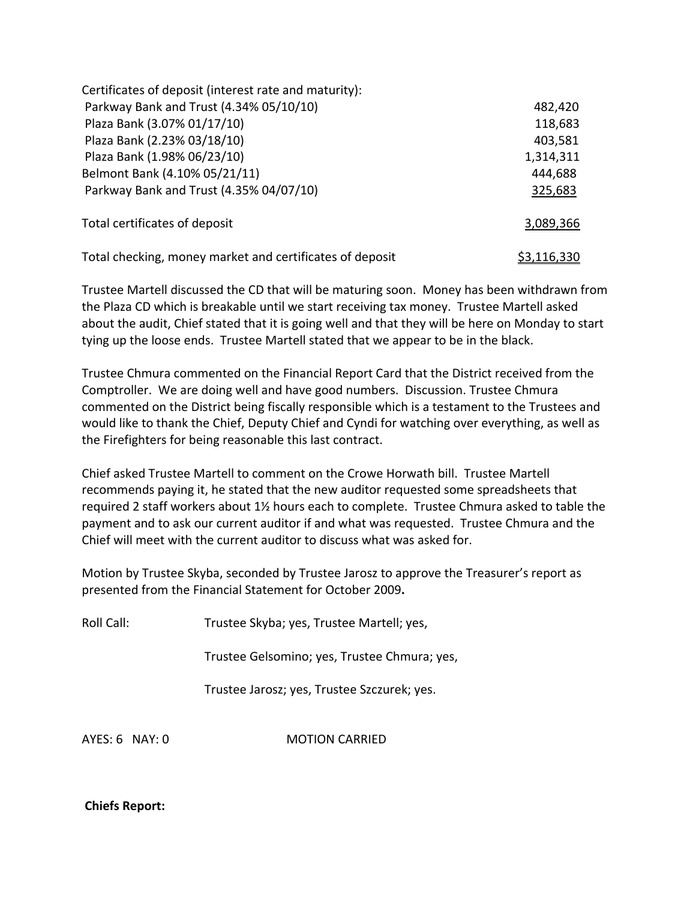| Certificates of deposit (interest rate and maturity):    |                    |
|----------------------------------------------------------|--------------------|
| Parkway Bank and Trust (4.34% 05/10/10)                  | 482,420            |
| Plaza Bank (3.07% 01/17/10)                              | 118,683            |
| Plaza Bank (2.23% 03/18/10)                              | 403,581            |
| Plaza Bank (1.98% 06/23/10)                              | 1,314,311          |
| Belmont Bank (4.10% 05/21/11)                            | 444,688            |
| Parkway Bank and Trust (4.35% 04/07/10)                  | 325,683            |
| Total certificates of deposit                            | 3,089,366          |
| Total checking, money market and certificates of deposit | <u>\$3,116,330</u> |

Trustee Martell discussed the CD that will be maturing soon. Money has been withdrawn from the Plaza CD which is breakable until we start receiving tax money. Trustee Martell asked about the audit, Chief stated that it is going well and that they will be here on Monday to start tying up the loose ends. Trustee Martell stated that we appear to be in the black.

Trustee Chmura commented on the Financial Report Card that the District received from the Comptroller. We are doing well and have good numbers. Discussion. Trustee Chmura commented on the District being fiscally responsible which is a testament to the Trustees and would like to thank the Chief, Deputy Chief and Cyndi for watching over everything, as well as the Firefighters for being reasonable this last contract.

Chief asked Trustee Martell to comment on the Crowe Horwath bill. Trustee Martell recommends paying it, he stated that the new auditor requested some spreadsheets that required 2 staff workers about 1½ hours each to complete. Trustee Chmura asked to table the payment and to ask our current auditor if and what was requested. Trustee Chmura and the Chief will meet with the current auditor to discuss what was asked for.

Motion by Trustee Skyba, seconded by Trustee Jarosz to approve the Treasurer's report as presented from the Financial Statement for October 2009**.**

Roll Call: Trustee Skyba; yes, Trustee Martell; yes,

Trustee Gelsomino; yes, Trustee Chmura; yes,

Trustee Jarosz; yes, Trustee Szczurek; yes.

AYES: 6 NAY: 0 **MOTION CARRIED** 

**Chiefs Report:**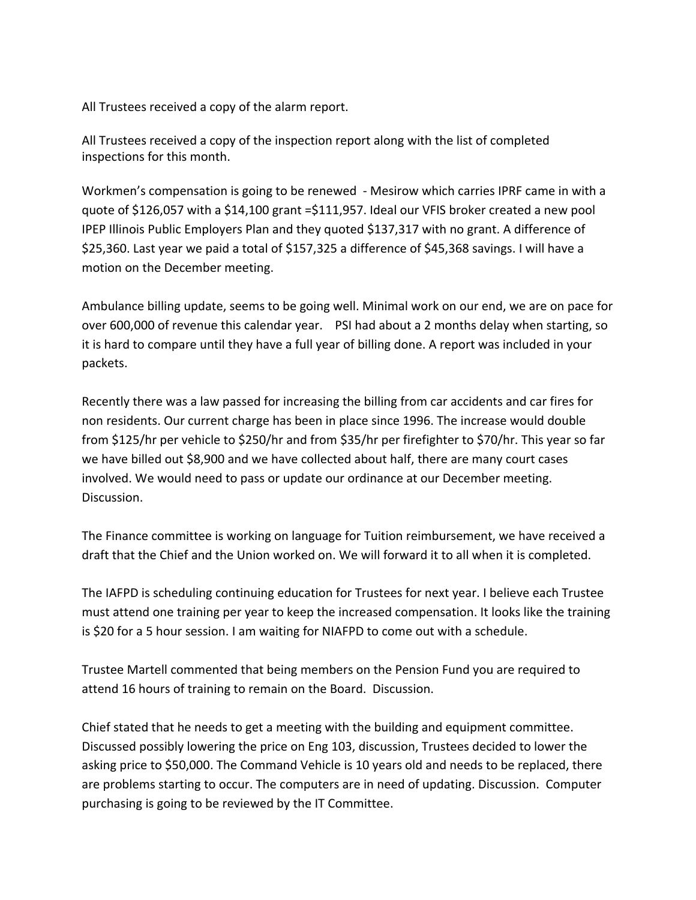All Trustees received a copy of the alarm report.

All Trustees received a copy of the inspection report along with the list of completed inspections for this month.

Workmen's compensation is going to be renewed ‐ Mesirow which carries IPRF came in with a quote of \$126,057 with a \$14,100 grant =\$111,957. Ideal our VFIS broker created a new pool IPEP Illinois Public Employers Plan and they quoted \$137,317 with no grant. A difference of \$25,360. Last year we paid a total of \$157,325 a difference of \$45,368 savings. I will have a motion on the December meeting.

Ambulance billing update, seems to be going well. Minimal work on our end, we are on pace for over 600,000 of revenue this calendar year. PSI had about a 2 months delay when starting, so it is hard to compare until they have a full year of billing done. A report was included in your packets.

Recently there was a law passed for increasing the billing from car accidents and car fires for non residents. Our current charge has been in place since 1996. The increase would double from \$125/hr per vehicle to \$250/hr and from \$35/hr per firefighter to \$70/hr. This year so far we have billed out \$8,900 and we have collected about half, there are many court cases involved. We would need to pass or update our ordinance at our December meeting. Discussion.

The Finance committee is working on language for Tuition reimbursement, we have received a draft that the Chief and the Union worked on. We will forward it to all when it is completed.

The IAFPD is scheduling continuing education for Trustees for next year. I believe each Trustee must attend one training per year to keep the increased compensation. It looks like the training is \$20 for a 5 hour session. I am waiting for NIAFPD to come out with a schedule.

Trustee Martell commented that being members on the Pension Fund you are required to attend 16 hours of training to remain on the Board. Discussion.

Chief stated that he needs to get a meeting with the building and equipment committee. Discussed possibly lowering the price on Eng 103, discussion, Trustees decided to lower the asking price to \$50,000. The Command Vehicle is 10 years old and needs to be replaced, there are problems starting to occur. The computers are in need of updating. Discussion. Computer purchasing is going to be reviewed by the IT Committee.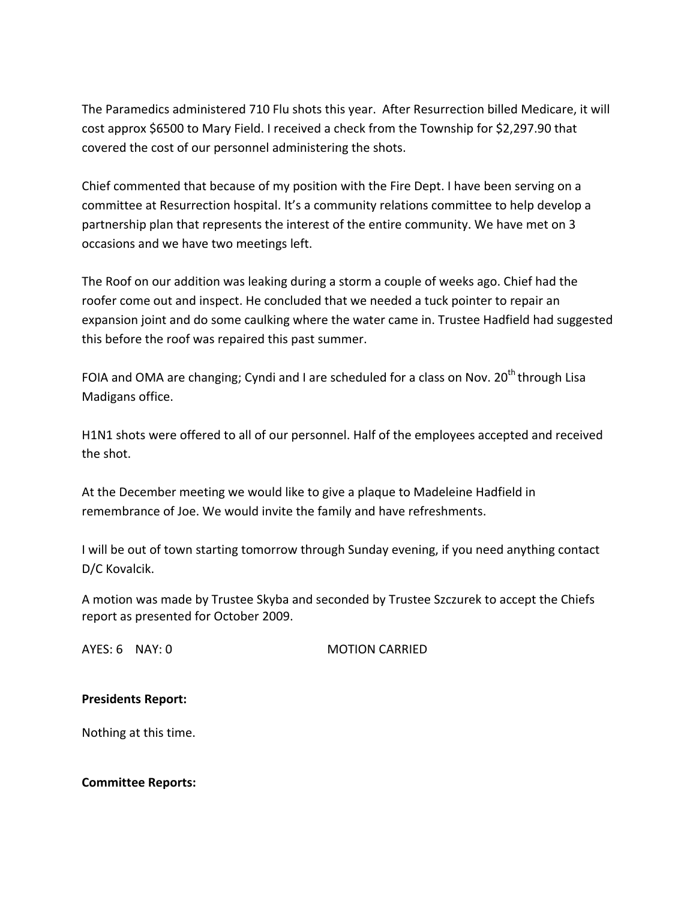The Paramedics administered 710 Flu shots this year. After Resurrection billed Medicare, it will cost approx \$6500 to Mary Field. I received a check from the Township for \$2,297.90 that covered the cost of our personnel administering the shots.

Chief commented that because of my position with the Fire Dept. I have been serving on a committee at Resurrection hospital. It's a community relations committee to help develop a partnership plan that represents the interest of the entire community. We have met on 3 occasions and we have two meetings left.

The Roof on our addition was leaking during a storm a couple of weeks ago. Chief had the roofer come out and inspect. He concluded that we needed a tuck pointer to repair an expansion joint and do some caulking where the water came in. Trustee Hadfield had suggested this before the roof was repaired this past summer.

FOIA and OMA are changing; Cyndi and I are scheduled for a class on Nov.  $20^{th}$  through Lisa Madigans office.

H1N1 shots were offered to all of our personnel. Half of the employees accepted and received the shot.

At the December meeting we would like to give a plaque to Madeleine Hadfield in remembrance of Joe. We would invite the family and have refreshments.

I will be out of town starting tomorrow through Sunday evening, if you need anything contact D/C Kovalcik.

A motion was made by Trustee Skyba and seconded by Trustee Szczurek to accept the Chiefs report as presented for October 2009.

AYES: 6 NAY: 0 MOTION CARRIED

#### **Presidents Report:**

Nothing at this time.

**Committee Reports:**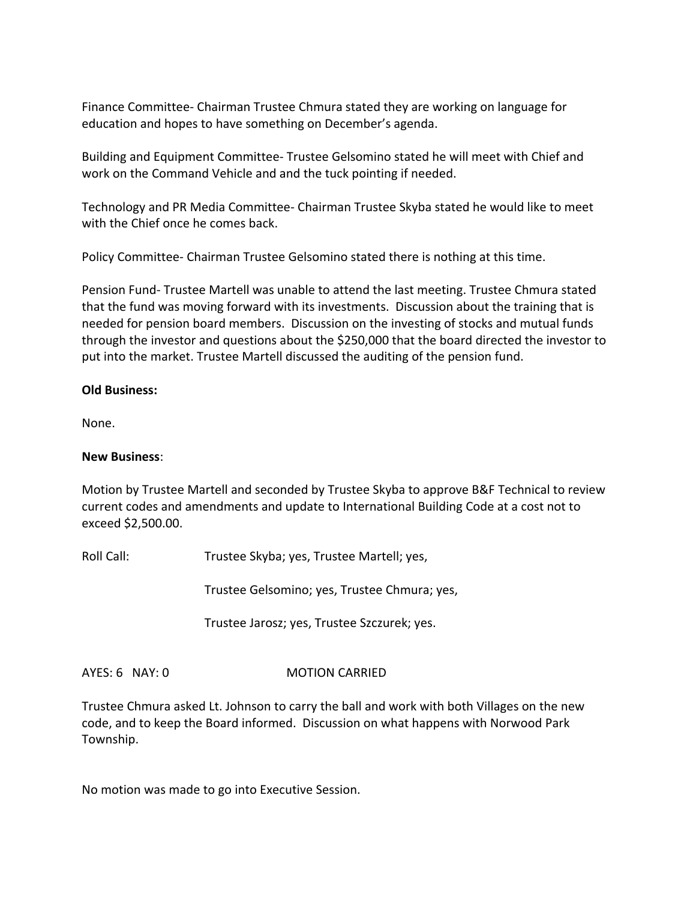Finance Committee‐ Chairman Trustee Chmura stated they are working on language for education and hopes to have something on December's agenda.

Building and Equipment Committee‐ Trustee Gelsomino stated he will meet with Chief and work on the Command Vehicle and and the tuck pointing if needed.

Technology and PR Media Committee‐ Chairman Trustee Skyba stated he would like to meet with the Chief once he comes back.

Policy Committee‐ Chairman Trustee Gelsomino stated there is nothing at this time.

Pension Fund‐ Trustee Martell was unable to attend the last meeting. Trustee Chmura stated that the fund was moving forward with its investments. Discussion about the training that is needed for pension board members. Discussion on the investing of stocks and mutual funds through the investor and questions about the \$250,000 that the board directed the investor to put into the market. Trustee Martell discussed the auditing of the pension fund.

## **Old Business:**

None.

### **New Business**:

Motion by Trustee Martell and seconded by Trustee Skyba to approve B&F Technical to review current codes and amendments and update to International Building Code at a cost not to exceed \$2,500.00.

Roll Call: Trustee Skyba; yes, Trustee Martell; yes,

Trustee Gelsomino; yes, Trustee Chmura; yes,

Trustee Jarosz; yes, Trustee Szczurek; yes.

# AYES: 6 NAY: 0 **MOTION CARRIED**

Trustee Chmura asked Lt. Johnson to carry the ball and work with both Villages on the new code, and to keep the Board informed. Discussion on what happens with Norwood Park Township.

No motion was made to go into Executive Session.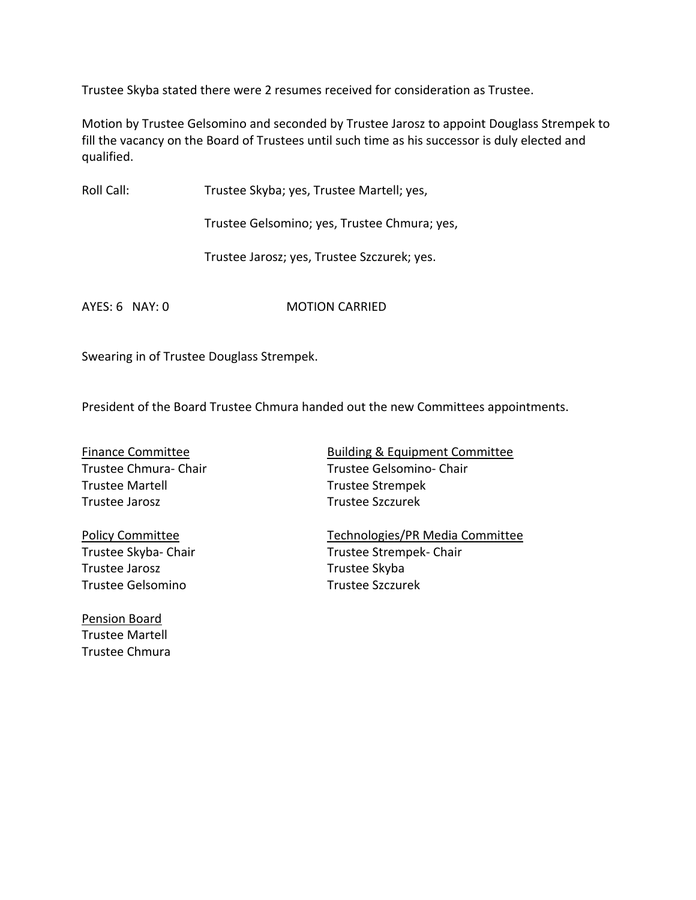Trustee Skyba stated there were 2 resumes received for consideration as Trustee.

Motion by Trustee Gelsomino and seconded by Trustee Jarosz to appoint Douglass Strempek to fill the vacancy on the Board of Trustees until such time as his successor is duly elected and qualified.

Roll Call: Trustee Skyba; yes, Trustee Martell; yes,

Trustee Gelsomino; yes, Trustee Chmura; yes,

Trustee Jarosz; yes, Trustee Szczurek; yes.

AYES: 6 NAY: 0 **MOTION CARRIED** 

Swearing in of Trustee Douglass Strempek.

President of the Board Trustee Chmura handed out the new Committees appointments.

Trustee Martell **Trustee Strempek** Trustee Jarosz Trustee Szczurek

Trustee Jarosz **Trustee Skyba** Trustee Gelsomino Trustee Szczurek

Pension Board Trustee Martell Trustee Chmura

Finance Committee *Building & Equipment Committee* Trustee Chmura- Chair Trustee Gelsomino- Chair

Policy Committee Technologies/PR Media Committee Trustee Skyba‐ Chair Trustee Strempek‐ Chair